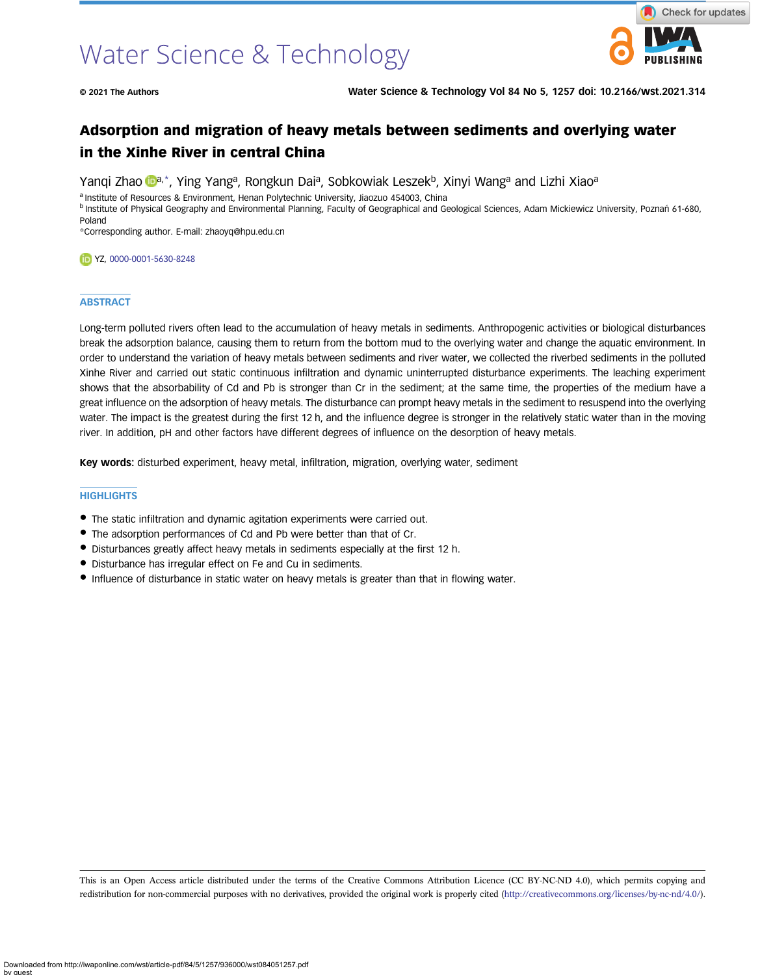# Water Science & Technology



© 2021 The Authors Water Science & Technology Vol 84 No 5, 1257 doi: 10.2166/wst.2021.314

# Adsorption and migration of heavy metals between sediments and overlying water in the Xinhe River in central China

Y[a](https://orcid.org/0000-0001-5630-8248)ngi Zhao **Da**,\*, Ying Yang<sup>a</sup>, Rongkun Dai<sup>a</sup>, Sobkowiak Leszek<sup>b</sup>, Xinyi Wanga and Lizhi Xiaoa

a Institute of Resources & Environment, Henan Polytechnic University, Jiaozuo 454003, China

b Institute of Physical Geography and Environmental Planning, Faculty of Geographical and Geological Sciences, Adam Mickiewicz University, Poznań 61-680, Poland

\*Corresponding author. E-mail: [zhaoyq@hpu.edu.cn](mailto:zhaoyq@hpu.edu.cn)

YZ, [0000-0001-5630-8248](http://orcid.org/0000-0001-5630-8248)

#### **ABSTRACT**

Long-term polluted rivers often lead to the accumulation of heavy metals in sediments. Anthropogenic activities or biological disturbances break the adsorption balance, causing them to return from the bottom mud to the overlying water and change the aquatic environment. In order to understand the variation of heavy metals between sediments and river water, we collected the riverbed sediments in the polluted Xinhe River and carried out static continuous infiltration and dynamic uninterrupted disturbance experiments. The leaching experiment shows that the absorbability of Cd and Pb is stronger than Cr in the sediment; at the same time, the properties of the medium have a great influence on the adsorption of heavy metals. The disturbance can prompt heavy metals in the sediment to resuspend into the overlying water. The impact is the greatest during the first 12 h, and the influence degree is stronger in the relatively static water than in the moving river. In addition, pH and other factors have different degrees of influence on the desorption of heavy metals.

Key words: disturbed experiment, heavy metal, infiltration, migration, overlying water, sediment

#### **HIGHLIGHTS**

- The static infiltration and dynamic agitation experiments were carried out.
- The adsorption performances of Cd and Pb were better than that of Cr.
- Disturbances greatly affect heavy metals in sediments especially at the first 12 h.
- Disturbance has irregular effect on Fe and Cu in sediments.
- Influence of disturbance in static water on heavy metals is greater than that in flowing water.

This is an Open Access article distributed under the terms of the Creative Commons Attribution Licence (CC BY-NC-ND 4.0), which permits copying and redistribution for non-commercial purposes with no derivatives, provided the original work is properly cited ([http://creativecommons.org/licenses/by-nc-nd/4.0/\)](http://creativecommons.org/licenses/by-nc-nd/4.0/).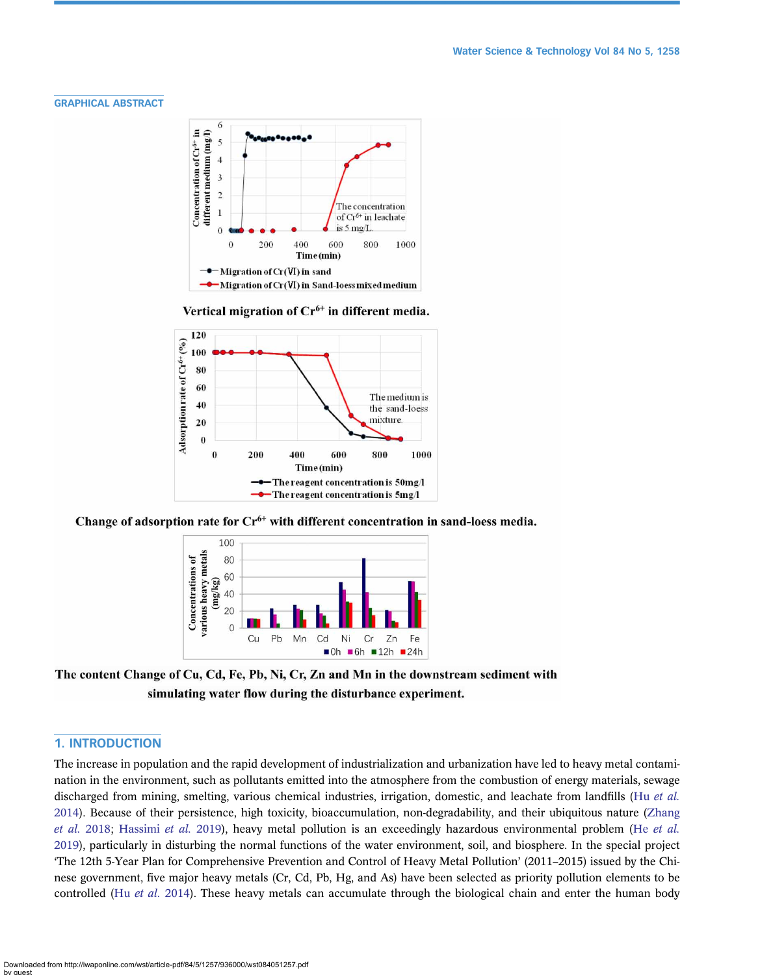#### GRAPHICAL ABSTRACT



Vertical migration of Cr<sup>6+</sup> in different media.



Change of adsorption rate for  $Cr<sup>6+</sup>$  with different concentration in sand-loess media.



The content Change of Cu, Cd, Fe, Pb, Ni, Cr, Zn and Mn in the downstream sediment with simulating water flow during the disturbance experiment.

# 1. INTRODUCTION

The increase in population and the rapid development of industrialization and urbanization have led to heavy metal contamination in the environment, such as pollutants emitted into the atmosphere from the combustion of energy materials, sewage discharged from mining, smelting, various chemical industries, irrigation, domestic, and leachate from landfills (Hu [et al.](#page-11-0) [2014](#page-11-0)). Because of their persistence, high toxicity, bioaccumulation, non-degradability, and their ubiquitous nature [\(Zhang](#page-12-0) [et al.](#page-11-0) 2018; [Hassimi](#page-11-0) et al. 2019), heavy metal pollution is an exceedingly hazardous environmental problem (He et al. [2019](#page-11-0)), particularly in disturbing the normal functions of the water environment, soil, and biosphere. In the special project 'The 12th 5-Year Plan for Comprehensive Prevention and Control of Heavy Metal Pollution' (2011–2015) issued by the Chinese government, five major heavy metals (Cr, Cd, Pb, Hg, and As) have been selected as priority pollution elements to be controlled (Hu [et al.](#page-11-0) 2014). These heavy metals can accumulate through the biological chain and enter the human body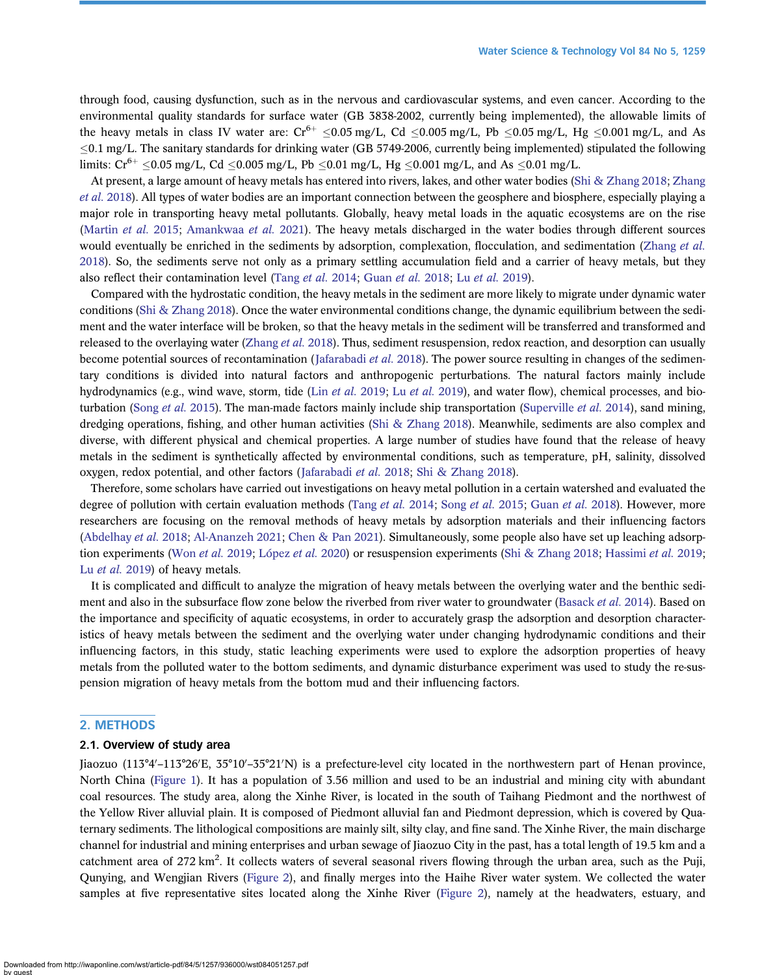through food, causing dysfunction, such as in the nervous and cardiovascular systems, and even cancer. According to the environmental quality standards for surface water (GB 3838-2002, currently being implemented), the allowable limits of the heavy metals in class IV water are:  $Cr^{6+} \le 0.05$  mg/L, Cd  $\le 0.005$  mg/L, Pb  $\le 0.05$  mg/L, Hg  $\le 0.001$  mg/L, and As  $\leq$ 0.1 mg/L. The sanitary standards for drinking water (GB 5749-2006, currently being implemented) stipulated the following limits:  $Cr^{6+} \le 0.05$  mg/L, Cd  $\le 0.005$  mg/L, Pb  $\le 0.01$  mg/L, Hg  $\le 0.001$  mg/L, and As  $\le 0.01$  mg/L.

At present, a large amount of heavy metals has entered into rivers, lakes, and other water bodies ([Shi & Zhang 2018;](#page-11-0) [Zhang](#page-12-0) et al. [2018\)](#page-12-0). All types of water bodies are an important connection between the geosphere and biosphere, especially playing a major role in transporting heavy metal pollutants. Globally, heavy metal loads in the aquatic ecosystems are on the rise [\(Martin](#page-11-0) et al. 2015; [Amankwaa](#page-11-0) et al. 2021). The heavy metals discharged in the water bodies through different sources would eventually be enriched in the sediments by adsorption, complexation, flocculation, and sedimentation [\(Zhang](#page-12-0) et al. [2018\)](#page-12-0). So, the sediments serve not only as a primary settling accumulation field and a carrier of heavy metals, but they also reflect their contamination level [\(Tang](#page-11-0) et al. 2014; [Guan](#page-11-0) et al. 2018; Lu [et al.](#page-11-0) 2019).

Compared with the hydrostatic condition, the heavy metals in the sediment are more likely to migrate under dynamic water conditions ([Shi & Zhang 2018](#page-11-0)). Once the water environmental conditions change, the dynamic equilibrium between the sediment and the water interface will be broken, so that the heavy metals in the sediment will be transferred and transformed and released to the overlaying water ([Zhang](#page-12-0) et al. 2018). Thus, sediment resuspension, redox reaction, and desorption can usually become potential sources of recontamination ([Jafarabadi](#page-11-0) *et al.* 2018). The power source resulting in changes of the sedimentary conditions is divided into natural factors and anthropogenic perturbations. The natural factors mainly include hydrodynamics (e.g., wind wave, storm, tide (Lin [et al.](#page-11-0) 2019; Lu et al. 2019), and water flow), chemical processes, and bio-turbation (Song et al. [2015\)](#page-11-0). The man-made factors mainly include ship transportation ([Superville](#page-11-0) et al. 2014), sand mining, dredging operations, fishing, and other human activities ([Shi & Zhang 2018\)](#page-11-0). Meanwhile, sediments are also complex and diverse, with different physical and chemical properties. A large number of studies have found that the release of heavy metals in the sediment is synthetically affected by environmental conditions, such as temperature, pH, salinity, dissolved oxygen, redox potential, and other factors ([Jafarabadi](#page-11-0) et al. 2018; [Shi & Zhang 2018\)](#page-11-0).

Therefore, some scholars have carried out investigations on heavy metal pollution in a certain watershed and evaluated the degree of pollution with certain evaluation methods [\(Tang](#page-11-0) et al. 2014; [Song](#page-11-0) et al. 2015; [Guan](#page-11-0) et al. 2018). However, more researchers are focusing on the removal methods of heavy metals by adsorption materials and their influencing factors [\(Abdelhay](#page-10-0) et al. 2018; [Al-Ananzeh 2021;](#page-11-0) [Chen & Pan 2021](#page-11-0)). Simultaneously, some people also have set up leaching adsorption experiments (Won [et al.](#page-11-0) 2019; [López](#page-11-0) et al. 2020) or resuspension experiments ([Shi & Zhang 2018](#page-11-0); [Hassimi](#page-11-0) et al. 2019; Lu [et al.](#page-11-0) 2019) of heavy metals.

It is complicated and difficult to analyze the migration of heavy metals between the overlying water and the benthic sedi-ment and also in the subsurface flow zone below the riverbed from river water to groundwater [\(Basack](#page-11-0) *et al.* 2014). Based on the importance and specificity of aquatic ecosystems, in order to accurately grasp the adsorption and desorption characteristics of heavy metals between the sediment and the overlying water under changing hydrodynamic conditions and their influencing factors, in this study, static leaching experiments were used to explore the adsorption properties of heavy metals from the polluted water to the bottom sediments, and dynamic disturbance experiment was used to study the re-suspension migration of heavy metals from the bottom mud and their influencing factors.

# 2. METHODS

### 2.1. Overview of study area

Jiaozuo (113°4′–113°26′E, 35°10′–35°21′N) is a prefecture-level city located in the northwestern part of Henan province, North China [\(Figure 1\)](#page-3-0). It has a population of 3.56 million and used to be an industrial and mining city with abundant coal resources. The study area, along the Xinhe River, is located in the south of Taihang Piedmont and the northwest of the Yellow River alluvial plain. It is composed of Piedmont alluvial fan and Piedmont depression, which is covered by Quaternary sediments. The lithological compositions are mainly silt, silty clay, and fine sand. The Xinhe River, the main discharge channel for industrial and mining enterprises and urban sewage of Jiaozuo City in the past, has a total length of 19.5 km and a catchment area of 272 km<sup>2</sup>. It collects waters of several seasonal rivers flowing through the urban area, such as the Puji, Qunying, and Wengjian Rivers ([Figure 2](#page-3-0)), and finally merges into the Haihe River water system. We collected the water samples at five representative sites located along the Xinhe River [\(Figure 2](#page-3-0)), namely at the headwaters, estuary, and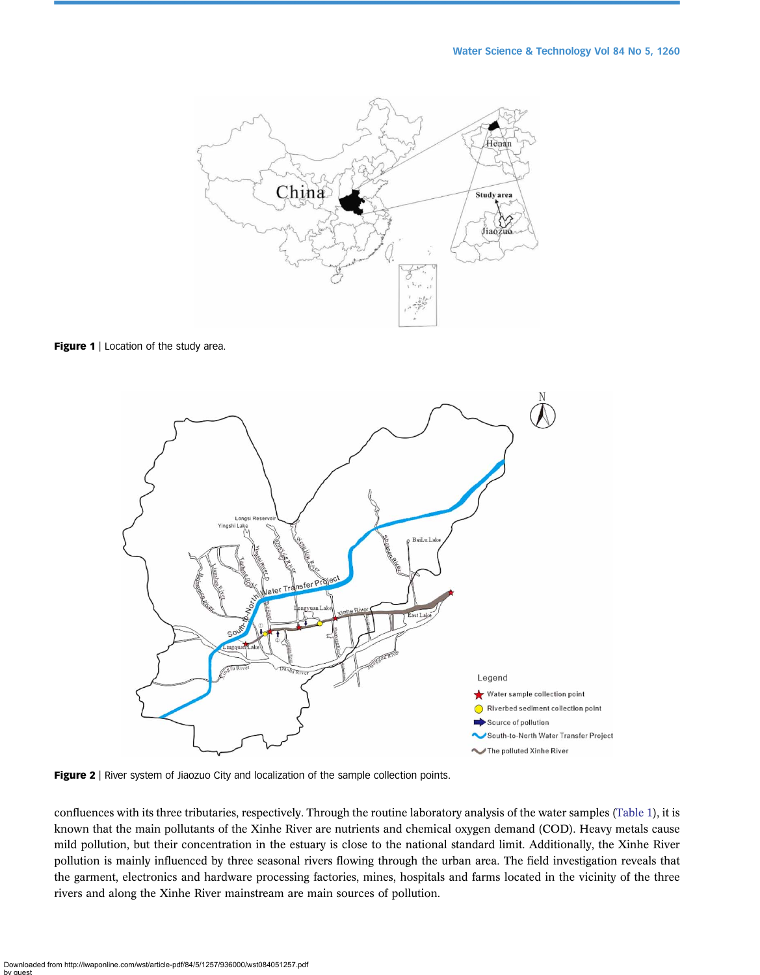<span id="page-3-0"></span>

Figure 1 | Location of the study area.



Figure 2 | River system of Jiaozuo City and localization of the sample collection points.

confluences with its three tributaries, respectively. Through the routine laboratory analysis of the water samples [\(Table 1\)](#page-4-0), it is known that the main pollutants of the Xinhe River are nutrients and chemical oxygen demand (COD). Heavy metals cause mild pollution, but their concentration in the estuary is close to the national standard limit. Additionally, the Xinhe River pollution is mainly influenced by three seasonal rivers flowing through the urban area. The field investigation reveals that the garment, electronics and hardware processing factories, mines, hospitals and farms located in the vicinity of the three rivers and along the Xinhe River mainstream are main sources of pollution.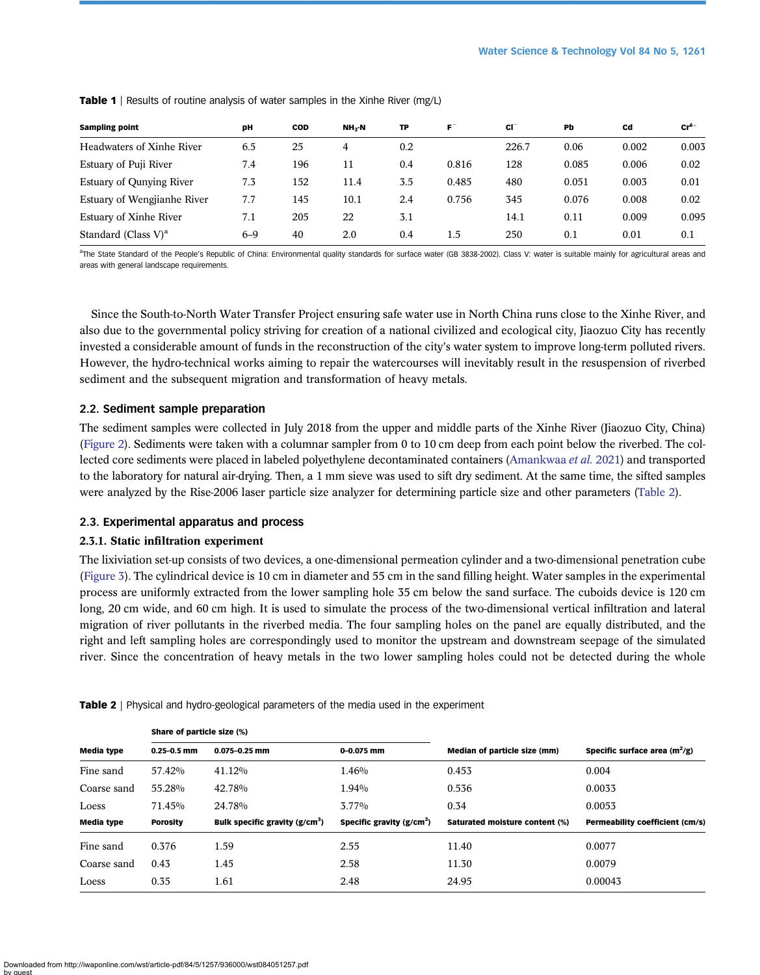| <b>Sampling point</b>              | DH      | <b>COD</b> | NH <sub>3</sub> -N | TP  | $F^-$ | CI <sup>-</sup> | Pb    | Cd    | $Cr^{6+}$ |
|------------------------------------|---------|------------|--------------------|-----|-------|-----------------|-------|-------|-----------|
| Headwaters of Xinhe River          | 6.5     | 25         | 4                  | 0.2 |       | 226.7           | 0.06  | 0.002 | 0.003     |
| Estuary of Puji River              | 7.4     | 196        | 11                 | 0.4 | 0.816 | 128             | 0.085 | 0.006 | 0.02      |
| <b>Estuary of Qunying River</b>    | 7.3     | 152        | 11.4               | 3.5 | 0.485 | 480             | 0.051 | 0.003 | 0.01      |
| Estuary of Wengjianhe River        | 7.7     | 145        | 10.1               | 2.4 | 0.756 | 345             | 0.076 | 0.008 | 0.02      |
| Estuary of Xinhe River             | 7.1     | 205        | 22                 | 3.1 |       | 14.1            | 0.11  | 0.009 | 0.095     |
| Standard (Class $V$ ) <sup>a</sup> | $6 - 9$ | 40         | 2.0                | 0.4 | 1.5   | 250             | 0.1   | 0.01  | 0.1       |

<span id="page-4-0"></span>**Table 1** | Results of routine analysis of water samples in the Xinhe River (mg/L)

<sup>a</sup>The State Standard of the People's Republic of China: Environmental quality standards for surface water (GB 3838-2002). Class V: water is suitable mainly for agricultural areas and areas with general landscape requirements.

Since the South-to-North Water Transfer Project ensuring safe water use in North China runs close to the Xinhe River, and also due to the governmental policy striving for creation of a national civilized and ecological city, Jiaozuo City has recently invested a considerable amount of funds in the reconstruction of the city's water system to improve long-term polluted rivers. However, the hydro-technical works aiming to repair the watercourses will inevitably result in the resuspension of riverbed sediment and the subsequent migration and transformation of heavy metals.

# 2.2. Sediment sample preparation

The sediment samples were collected in July 2018 from the upper and middle parts of the Xinhe River (Jiaozuo City, China) [\(Figure 2\)](#page-3-0). Sediments were taken with a columnar sampler from 0 to 10 cm deep from each point below the riverbed. The collected core sediments were placed in labeled polyethylene decontaminated containers ([Amankwaa](#page-11-0) et al. 2021) and transported to the laboratory for natural air-drying. Then, a 1 mm sieve was used to sift dry sediment. At the same time, the sifted samples were analyzed by the Rise-2006 laser particle size analyzer for determining particle size and other parameters (Table 2).

# 2.3. Experimental apparatus and process

# 2.3.1. Static infiltration experiment

The lixiviation set-up consists of two devices, a one-dimensional permeation cylinder and a two-dimensional penetration cube [\(Figure 3\)](#page-5-0). The cylindrical device is 10 cm in diameter and 55 cm in the sand filling height. Water samples in the experimental process are uniformly extracted from the lower sampling hole 35 cm below the sand surface. The cuboids device is 120 cm long, 20 cm wide, and 60 cm high. It is used to simulate the process of the two-dimensional vertical infiltration and lateral migration of river pollutants in the riverbed media. The four sampling holes on the panel are equally distributed, and the right and left sampling holes are correspondingly used to monitor the upstream and downstream seepage of the simulated river. Since the concentration of heavy metals in the two lower sampling holes could not be detected during the whole

|             | Share of particle size (%) |                                 |                            |                                |                                        |  |  |
|-------------|----------------------------|---------------------------------|----------------------------|--------------------------------|----------------------------------------|--|--|
| Media type  | $0.25 - 0.5$ mm            | $0.075 - 0.25$ mm               | $0 - 0.075$ mm             | Median of particle size (mm)   | Specific surface area $(m^2/g)$        |  |  |
| Fine sand   | 57.42%                     | 41.12%                          | 1.46%                      | 0.453                          | 0.004                                  |  |  |
| Coarse sand | 55.28%                     | 42.78%                          | 1.94%                      | 0.536                          | 0.0033                                 |  |  |
| Loess       | 71.45%                     | 24.78%                          | $3.77\%$                   | 0.34                           | 0.0053                                 |  |  |
| Media type  | <b>Porosity</b>            | Bulk specific gravity $(g/cm3)$ | Specific gravity $(g/cm3)$ | Saturated moisture content (%) | <b>Permeability coefficient (cm/s)</b> |  |  |
| Fine sand   | 0.376                      | 1.59                            | 2.55                       | 11.40                          | 0.0077                                 |  |  |
| Coarse sand | 0.43                       | 1.45                            | 2.58                       | 11.30                          | 0.0079                                 |  |  |
| Loess       | 0.35                       | 1.61                            | 2.48                       | 24.95                          | 0.00043                                |  |  |

**Table 2** | Physical and hydro-geological parameters of the media used in the experiment

Downloaded from http://iwaponline.com/wst/article-pdf/84/5/1257/936000/wst084051257.pdf by guest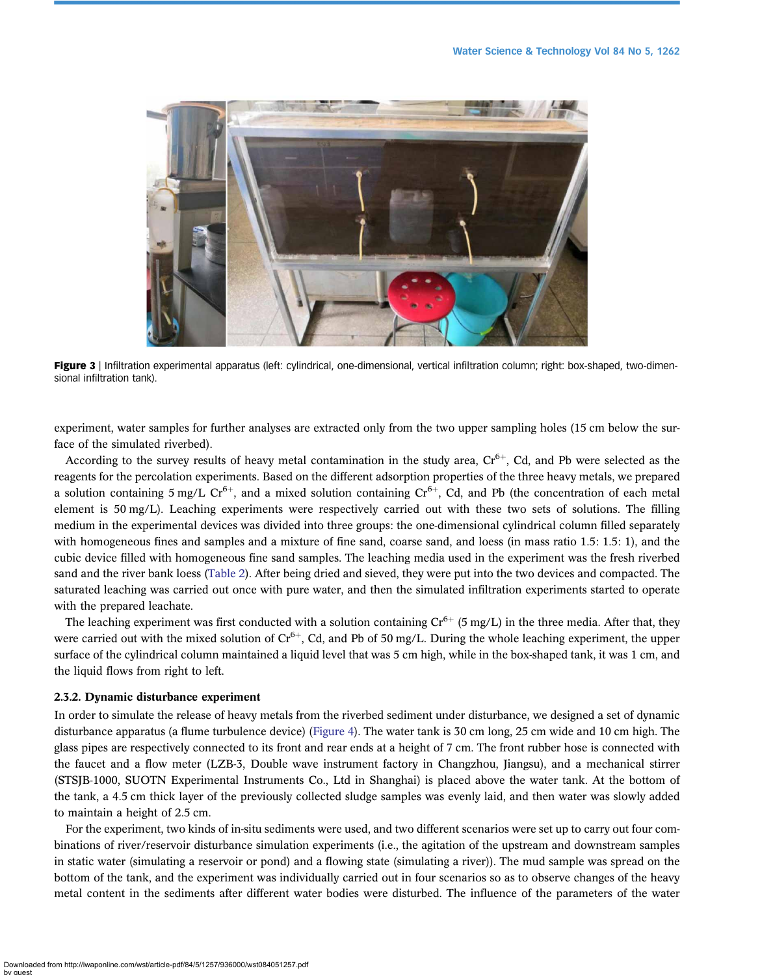<span id="page-5-0"></span>

Figure 3 | Infiltration experimental apparatus (left: cylindrical, one-dimensional, vertical infiltration column; right: box-shaped, two-dimensional infiltration tank).

experiment, water samples for further analyses are extracted only from the two upper sampling holes (15 cm below the surface of the simulated riverbed).

According to the survey results of heavy metal contamination in the study area,  $Cr^{6+}$ , Cd, and Pb were selected as the reagents for the percolation experiments. Based on the different adsorption properties of the three heavy metals, we prepared a solution containing 5 mg/L  $Cr<sup>6+</sup>$ , and a mixed solution containing  $Cr<sup>6+</sup>$ , Cd, and Pb (the concentration of each metal element is 50 mg/L). Leaching experiments were respectively carried out with these two sets of solutions. The filling medium in the experimental devices was divided into three groups: the one-dimensional cylindrical column filled separately with homogeneous fines and samples and a mixture of fine sand, coarse sand, and loess (in mass ratio 1.5: 1.5: 1), and the cubic device filled with homogeneous fine sand samples. The leaching media used in the experiment was the fresh riverbed sand and the river bank loess ([Table 2\)](#page-4-0). After being dried and sieved, they were put into the two devices and compacted. The saturated leaching was carried out once with pure water, and then the simulated infiltration experiments started to operate with the prepared leachate.

The leaching experiment was first conducted with a solution containing  $Cr^{6+}$  (5 mg/L) in the three media. After that, they were carried out with the mixed solution of  $Cr^{6+}$ , Cd, and Pb of 50 mg/L. During the whole leaching experiment, the upper surface of the cylindrical column maintained a liquid level that was 5 cm high, while in the box-shaped tank, it was 1 cm, and the liquid flows from right to left.

#### 2.3.2. Dynamic disturbance experiment

In order to simulate the release of heavy metals from the riverbed sediment under disturbance, we designed a set of dynamic disturbance apparatus (a flume turbulence device) ([Figure 4\)](#page-6-0). The water tank is 30 cm long, 25 cm wide and 10 cm high. The glass pipes are respectively connected to its front and rear ends at a height of 7 cm. The front rubber hose is connected with the faucet and a flow meter (LZB-3, Double wave instrument factory in Changzhou, Jiangsu), and a mechanical stirrer (STSJB-1000, SUOTN Experimental Instruments Co., Ltd in Shanghai) is placed above the water tank. At the bottom of the tank, a 4.5 cm thick layer of the previously collected sludge samples was evenly laid, and then water was slowly added to maintain a height of 2.5 cm.

For the experiment, two kinds of in-situ sediments were used, and two different scenarios were set up to carry out four combinations of river/reservoir disturbance simulation experiments (i.e., the agitation of the upstream and downstream samples in static water (simulating a reservoir or pond) and a flowing state (simulating a river)). The mud sample was spread on the bottom of the tank, and the experiment was individually carried out in four scenarios so as to observe changes of the heavy metal content in the sediments after different water bodies were disturbed. The influence of the parameters of the water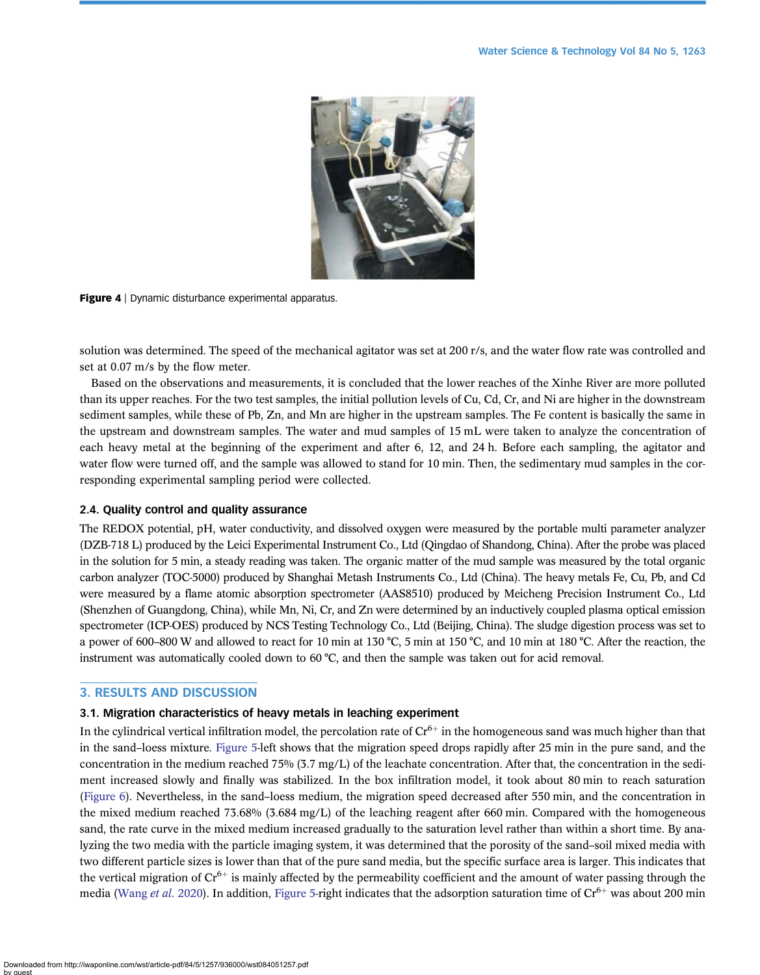<span id="page-6-0"></span>

Figure 4 | Dynamic disturbance experimental apparatus.

solution was determined. The speed of the mechanical agitator was set at 200 r/s, and the water flow rate was controlled and set at 0.07 m/s by the flow meter.

Based on the observations and measurements, it is concluded that the lower reaches of the Xinhe River are more polluted than its upper reaches. For the two test samples, the initial pollution levels of Cu, Cd, Cr, and Ni are higher in the downstream sediment samples, while these of Pb, Zn, and Mn are higher in the upstream samples. The Fe content is basically the same in the upstream and downstream samples. The water and mud samples of 15 mL were taken to analyze the concentration of each heavy metal at the beginning of the experiment and after 6, 12, and 24 h. Before each sampling, the agitator and water flow were turned off, and the sample was allowed to stand for 10 min. Then, the sedimentary mud samples in the corresponding experimental sampling period were collected.

#### 2.4. Quality control and quality assurance

The REDOX potential, pH, water conductivity, and dissolved oxygen were measured by the portable multi parameter analyzer (DZB-718 L) produced by the Leici Experimental Instrument Co., Ltd (Qingdao of Shandong, China). After the probe was placed in the solution for 5 min, a steady reading was taken. The organic matter of the mud sample was measured by the total organic carbon analyzer (TOC-5000) produced by Shanghai Metash Instruments Co., Ltd (China). The heavy metals Fe, Cu, Pb, and Cd were measured by a flame atomic absorption spectrometer (AAS8510) produced by Meicheng Precision Instrument Co., Ltd (Shenzhen of Guangdong, China), while Mn, Ni, Cr, and Zn were determined by an inductively coupled plasma optical emission spectrometer (ICP-OES) produced by NCS Testing Technology Co., Ltd (Beijing, China). The sludge digestion process was set to a power of 600–800 W and allowed to react for 10 min at 130 °C, 5 min at 150 °C, and 10 min at 180 °C. After the reaction, the instrument was automatically cooled down to 60 °C, and then the sample was taken out for acid removal.

# 3. RESULTS AND DISCUSSION

# 3.1. Migration characteristics of heavy metals in leaching experiment

In the cylindrical vertical infiltration model, the percolation rate of  $Cr<sup>6+</sup>$  in the homogeneous sand was much higher than that in the sand–loess mixture. [Figure 5](#page-7-0)-left shows that the migration speed drops rapidly after 25 min in the pure sand, and the concentration in the medium reached 75% (3.7 mg/L) of the leachate concentration. After that, the concentration in the sediment increased slowly and finally was stabilized. In the box infiltration model, it took about 80 min to reach saturation [\(Figure 6\)](#page-7-0). Nevertheless, in the sand–loess medium, the migration speed decreased after 550 min, and the concentration in the mixed medium reached 73.68% (3.684 mg/L) of the leaching reagent after 660 min. Compared with the homogeneous sand, the rate curve in the mixed medium increased gradually to the saturation level rather than within a short time. By analyzing the two media with the particle imaging system, it was determined that the porosity of the sand–soil mixed media with two different particle sizes is lower than that of the pure sand media, but the specific surface area is larger. This indicates that the vertical migration of  $Cr^{6+}$  is mainly affected by the permeability coefficient and the amount of water passing through the media [\(Wang](#page-11-0) et al. 2020). In addition, [Figure 5](#page-7-0)-right indicates that the adsorption saturation time of  $Cr^{6+}$  was about 200 min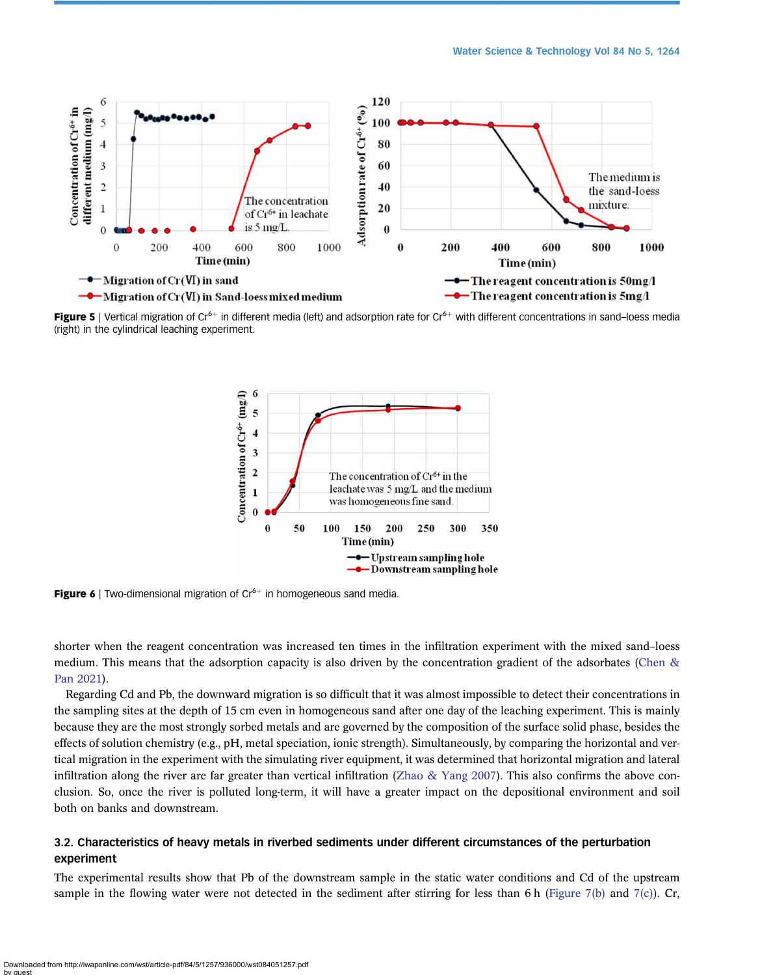<span id="page-7-0"></span>

Figure 5 | Vertical migration of Cr<sup>6+</sup> in different media (left) and adsorption rate for Cr<sup>6+</sup> with different concentrations in sand–loess media (right) in the cylindrical leaching experiment.



**Figure 6** | Two-dimensional migration of  $Cr^{6+}$  in homogeneous sand media.

shorter when the reagent concentration was increased ten times in the infiltration experiment with the mixed sand–loess medium. This means that the adsorption capacity is also driven by the concentration gradient of the adsorbates [\(Chen &](#page-11-0) [Pan 2021\)](#page-11-0).

Regarding Cd and Pb, the downward migration is so difficult that it was almost impossible to detect their concentrations in the sampling sites at the depth of 15 cm even in homogeneous sand after one day of the leaching experiment. This is mainly because they are the most strongly sorbed metals and are governed by the composition of the surface solid phase, besides the effects of solution chemistry (e.g., pH, metal speciation, ionic strength). Simultaneously, by comparing the horizontal and vertical migration in the experiment with the simulating river equipment, it was determined that horizontal migration and lateral infiltration along the river are far greater than vertical infiltration (Zhao  $\&$  Yang 2007). This also confirms the above conclusion. So, once the river is polluted long-term, it will have a greater impact on the depositional environment and soil both on banks and downstream.

# 3.2. Characteristics of heavy metals in riverbed sediments under different circumstances of the perturbation experiment

The experimental results show that Pb of the downstream sample in the static water conditions and Cd of the upstream sample in the flowing water were not detected in the sediment after stirring for less than 6 h [\(Figure 7\(b\)](#page-8-0) and [7\(c\)](#page-8-0)). Cr,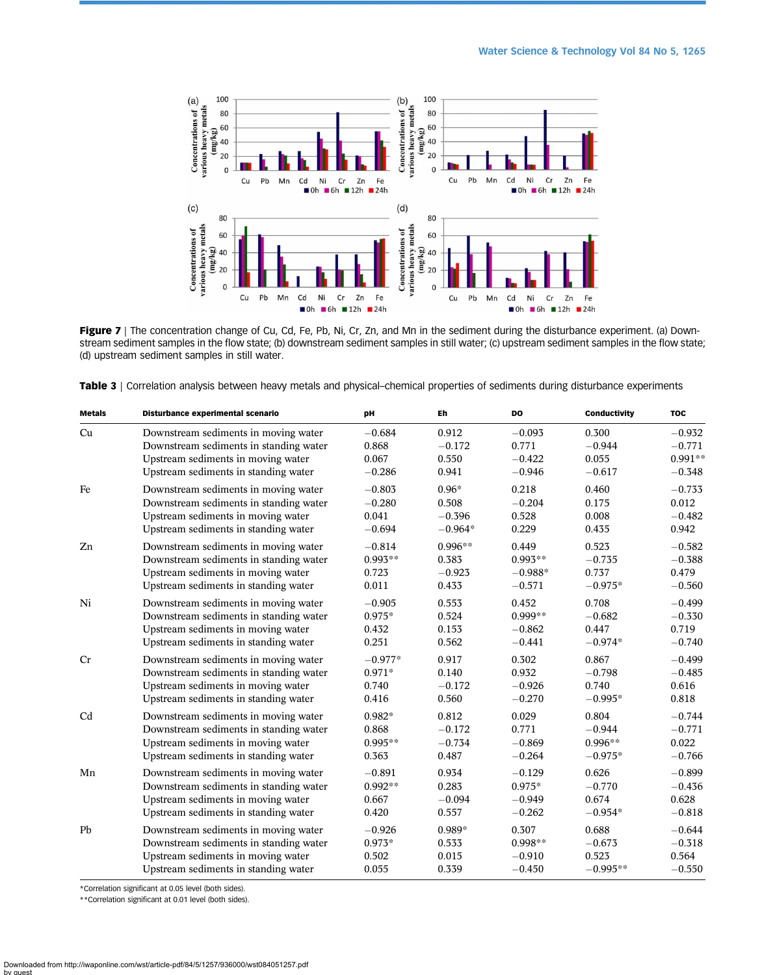<span id="page-8-0"></span>

Figure 7 | The concentration change of Cu, Cd, Fe, Pb, Ni, Cr, Zn, and Mn in the sediment during the disturbance experiment. (a) Downstream sediment samples in the flow state; (b) downstream sediment samples in still water; (c) upstream sediment samples in the flow state; (d) upstream sediment samples in still water.

Table 3 | Correlation analysis between heavy metals and physical–chemical properties of sediments during disturbance experiments

| <b>Metals</b> | Disturbance experimental scenario      | pН        | Eh        | <b>DO</b> | <b>Conductivity</b> | <b>TOC</b> |
|---------------|----------------------------------------|-----------|-----------|-----------|---------------------|------------|
| Cu            | Downstream sediments in moving water   | $-0.684$  | 0.912     | $-0.093$  | 0.300               | $-0.932$   |
|               | Downstream sediments in standing water | 0.868     | $-0.172$  | 0.771     | $-0.944$            | $-0.771$   |
|               | Upstream sediments in moving water     | 0.067     | 0.550     | $-0.422$  | 0.055               | $0.991**$  |
|               | Upstream sediments in standing water   | $-0.286$  | 0.941     | $-0.946$  | $-0.617$            | $-0.348$   |
| Fe            | Downstream sediments in moving water   | $-0.803$  | $0.96*$   | 0.218     | 0.460               | $-0.733$   |
|               | Downstream sediments in standing water | $-0.280$  | 0.508     | $-0.204$  | 0.175               | 0.012      |
|               | Upstream sediments in moving water     | 0.041     | $-0.396$  | 0.528     | 0.008               | $-0.482$   |
|               | Upstream sediments in standing water   | $-0.694$  | $-0.964*$ | 0.229     | 0.435               | 0.942      |
| Zn            | Downstream sediments in moving water   | $-0.814$  | $0.996**$ | 0.449     | 0.523               | $-0.582$   |
|               | Downstream sediments in standing water | $0.993**$ | 0.383     | $0.993**$ | $-0.735$            | $-0.388$   |
|               | Upstream sediments in moving water     | 0.723     | $-0.923$  | $-0.988*$ | 0.737               | 0.479      |
|               | Upstream sediments in standing water   | 0.011     | 0.433     | $-0.571$  | $-0.975*$           | $-0.560$   |
| Ni            | Downstream sediments in moving water   | $-0.905$  | 0.553     | 0.452     | 0.708               | $-0.499$   |
|               | Downstream sediments in standing water | $0.975*$  | 0.524     | $0.999**$ | $-0.682$            | $-0.330$   |
|               | Upstream sediments in moving water     | 0.432     | 0.153     | $-0.862$  | 0.447               | 0.719      |
|               | Upstream sediments in standing water   | 0.251     | 0.562     | $-0.441$  | $-0.974*$           | $-0.740$   |
| Cr            | Downstream sediments in moving water   | $-0.977*$ | 0.917     | 0.302     | 0.867               | $-0.499$   |
|               | Downstream sediments in standing water | 0.971*    | 0.140     | 0.932     | $-0.798$            | $-0.485$   |
|               | Upstream sediments in moving water     | 0.740     | $-0.172$  | $-0.926$  | 0.740               | 0.616      |
|               | Upstream sediments in standing water   | 0.416     | 0.560     | $-0.270$  | $-0.995*$           | 0.818      |
| Cd            | Downstream sediments in moving water   | 0.982*    | 0.812     | 0.029     | 0.804               | $-0.744$   |
|               | Downstream sediments in standing water | 0.868     | $-0.172$  | 0.771     | $-0.944$            | $-0.771$   |
|               | Upstream sediments in moving water     | $0.995**$ | $-0.734$  | $-0.869$  | $0.996**$           | 0.022      |
|               | Upstream sediments in standing water   | 0.363     | 0.487     | $-0.264$  | $-0.975*$           | $-0.766$   |
| Mn            | Downstream sediments in moving water   | $-0.891$  | 0.934     | $-0.129$  | 0.626               | $-0.899$   |
|               | Downstream sediments in standing water | $0.992**$ | 0.283     | $0.975*$  | $-0.770$            | $-0.436$   |
|               | Upstream sediments in moving water     | 0.667     | $-0.094$  | $-0.949$  | 0.674               | 0.628      |
|               | Upstream sediments in standing water   | 0.420     | 0.557     | $-0.262$  | $-0.954*$           | $-0.818$   |
| Pb            | Downstream sediments in moving water   | $-0.926$  | 0.989*    | 0.307     | 0.688               | $-0.644$   |
|               | Downstream sediments in standing water | 0.973*    | 0.533     | $0.998**$ | $-0.673$            | $-0.318$   |
|               | Upstream sediments in moving water     | 0.502     | 0.015     | $-0.910$  | 0.523               | 0.564      |
|               | Upstream sediments in standing water   | 0.055     | 0.339     | $-0.450$  | $-0.995**$          | $-0.550$   |

\*Correlation significant at 0.05 level (both sides).

\*\*Correlation significant at 0.01 level (both sides).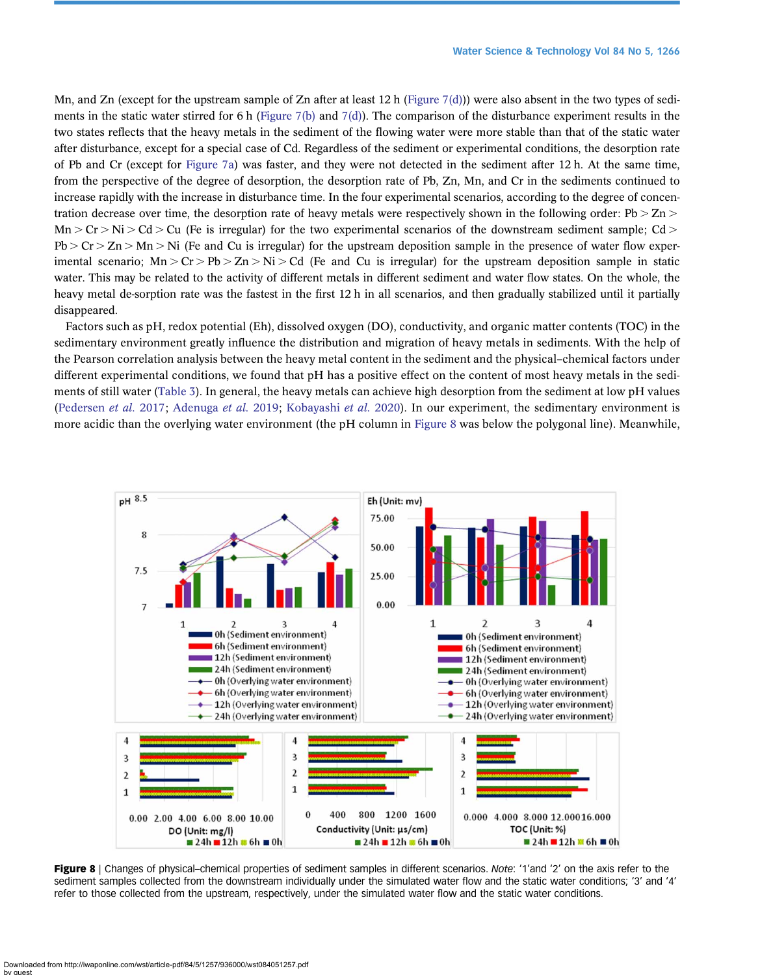<span id="page-9-0"></span>Mn, and Zn (except for the upstream sample of Zn after at least 12 h ([Figure 7\(d\)](#page-8-0))) were also absent in the two types of sedi-ments in the static water stirred for 6 h ([Figure 7\(b\)](#page-8-0) and [7\(d\)\)](#page-8-0). The comparison of the disturbance experiment results in the two states reflects that the heavy metals in the sediment of the flowing water were more stable than that of the static water after disturbance, except for a special case of Cd. Regardless of the sediment or experimental conditions, the desorption rate of Pb and Cr (except for [Figure 7a\)](#page-8-0) was faster, and they were not detected in the sediment after 12 h. At the same time, from the perspective of the degree of desorption, the desorption rate of Pb, Zn, Mn, and Cr in the sediments continued to increase rapidly with the increase in disturbance time. In the four experimental scenarios, according to the degree of concentration decrease over time, the desorption rate of heavy metals were respectively shown in the following order:  $Pb > Zn$  $Mn > Cr > Ni > Cd > Cu$  (Fe is irregular) for the two experimental scenarios of the downstream sediment sample; Cd >  $Pb > Cr > Zn > Mn > Ni$  (Fe and Cu is irregular) for the upstream deposition sample in the presence of water flow experimental scenario;  $Mn > Cr > Pb > Zn > Ni > Cd$  (Fe and Cu is irregular) for the upstream deposition sample in static water. This may be related to the activity of different metals in different sediment and water flow states. On the whole, the heavy metal de-sorption rate was the fastest in the first 12 h in all scenarios, and then gradually stabilized until it partially disappeared.

Factors such as pH, redox potential (Eh), dissolved oxygen (DO), conductivity, and organic matter contents (TOC) in the sedimentary environment greatly influence the distribution and migration of heavy metals in sediments. With the help of the Pearson correlation analysis between the heavy metal content in the sediment and the physical–chemical factors under different experimental conditions, we found that pH has a positive effect on the content of most heavy metals in the sediments of still water ([Table 3\)](#page-8-0). In general, the heavy metals can achieve high desorption from the sediment at low pH values ([Pedersen](#page-11-0) et al. 2017; [Adenuga](#page-11-0) et al. 2019; [Kobayashi](#page-11-0) et al. 2020). In our experiment, the sedimentary environment is more acidic than the overlying water environment (the pH column in Figure 8 was below the polygonal line). Meanwhile,



Figure 8 | Changes of physical–chemical properties of sediment samples in different scenarios. Note: '1'and '2' on the axis refer to the sediment samples collected from the downstream individually under the simulated water flow and the static water conditions; '3' and '4' refer to those collected from the upstream, respectively, under the simulated water flow and the static water conditions.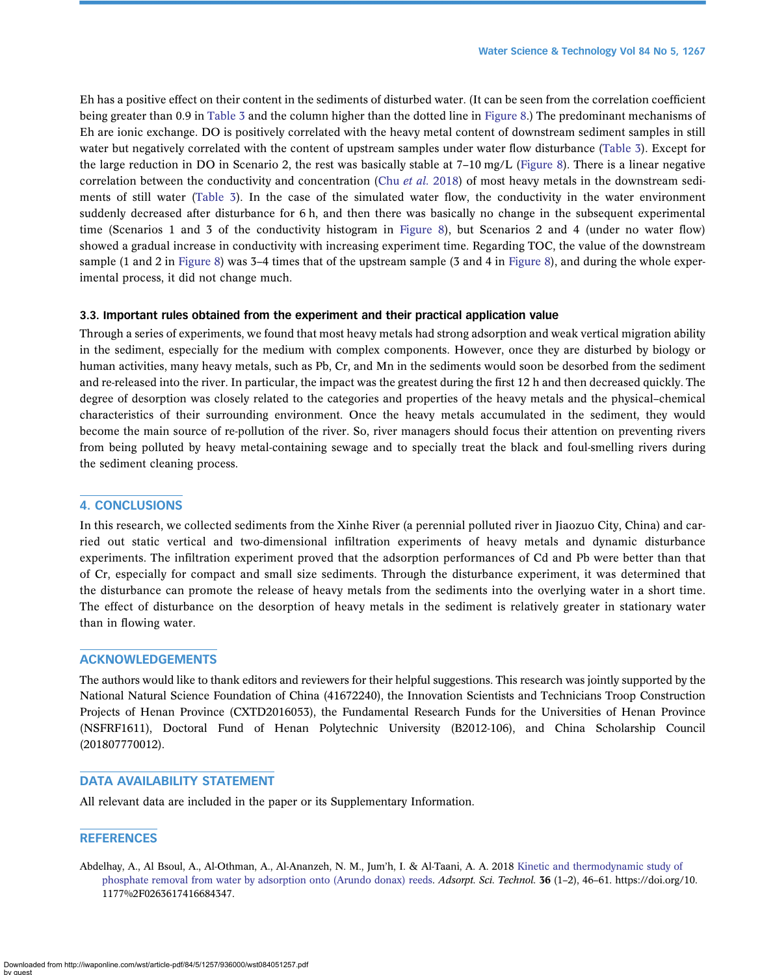<span id="page-10-0"></span>Eh has a positive effect on their content in the sediments of disturbed water. (It can be seen from the correlation coefficient being greater than 0.9 in [Table 3](#page-8-0) and the column higher than the dotted line in [Figure 8](#page-9-0).) The predominant mechanisms of Eh are ionic exchange. DO is positively correlated with the heavy metal content of downstream sediment samples in still water but negatively correlated with the content of upstream samples under water flow disturbance ([Table 3](#page-8-0)). Except for the large reduction in DO in Scenario 2, the rest was basically stable at 7–10 mg/L [\(Figure 8\)](#page-9-0). There is a linear negative correlation between the conductivity and concentration (Chu [et al.](#page-11-0) 2018) of most heavy metals in the downstream sediments of still water ([Table 3](#page-8-0)). In the case of the simulated water flow, the conductivity in the water environment suddenly decreased after disturbance for 6 h, and then there was basically no change in the subsequent experimental time (Scenarios 1 and 3 of the conductivity histogram in [Figure 8\)](#page-9-0), but Scenarios 2 and 4 (under no water flow) showed a gradual increase in conductivity with increasing experiment time. Regarding TOC, the value of the downstream sample (1 and 2 in [Figure 8\)](#page-9-0) was 3–4 times that of the upstream sample (3 and 4 in Figure 8), and during the whole experimental process, it did not change much.

#### 3.3. Important rules obtained from the experiment and their practical application value

Through a series of experiments, we found that most heavy metals had strong adsorption and weak vertical migration ability in the sediment, especially for the medium with complex components. However, once they are disturbed by biology or human activities, many heavy metals, such as Pb, Cr, and Mn in the sediments would soon be desorbed from the sediment and re-released into the river. In particular, the impact was the greatest during the first 12 h and then decreased quickly. The degree of desorption was closely related to the categories and properties of the heavy metals and the physical–chemical characteristics of their surrounding environment. Once the heavy metals accumulated in the sediment, they would become the main source of re-pollution of the river. So, river managers should focus their attention on preventing rivers from being polluted by heavy metal-containing sewage and to specially treat the black and foul-smelling rivers during the sediment cleaning process.

# 4. CONCLUSIONS

In this research, we collected sediments from the Xinhe River (a perennial polluted river in Jiaozuo City, China) and carried out static vertical and two-dimensional infiltration experiments of heavy metals and dynamic disturbance experiments. The infiltration experiment proved that the adsorption performances of Cd and Pb were better than that of Cr, especially for compact and small size sediments. Through the disturbance experiment, it was determined that the disturbance can promote the release of heavy metals from the sediments into the overlying water in a short time. The effect of disturbance on the desorption of heavy metals in the sediment is relatively greater in stationary water than in flowing water.

#### ACKNOWLEDGEMENTS

The authors would like to thank editors and reviewers for their helpful suggestions. This research was jointly supported by the National Natural Science Foundation of China (41672240), the Innovation Scientists and Technicians Troop Construction Projects of Henan Province (CXTD2016053), the Fundamental Research Funds for the Universities of Henan Province (NSFRF1611), Doctoral Fund of Henan Polytechnic University (B2012-106), and China Scholarship Council (201807770012).

# DATA AVAILABILITY STATEMENT

All relevant data are included in the paper or its Supplementary Information.

# **REFERENCES**

Abdelhay, A., Al Bsoul, A., Al-Othman, A., Al-Ananzeh, N. M., Jum'h, I. & Al-Taani, A. A. 2018 [Kinetic and thermodynamic study of](http://dx.doi.org/10.1177/0263617416684347) [phosphate removal from water by adsorption onto \(Arundo donax\) reeds.](http://dx.doi.org/10.1177/0263617416684347) Adsorpt. Sci. Technol. 36 (1–2), 46–61. https://doi.org/10. 1177%2F0263617416684347.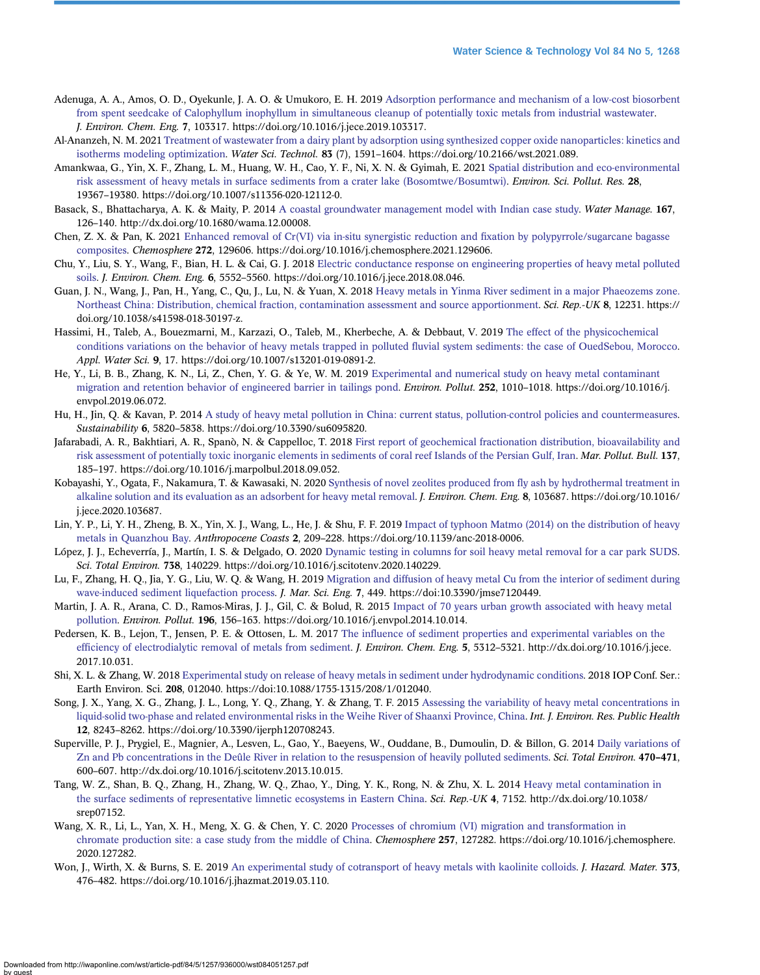- <span id="page-11-0"></span>Adenuga, A. A., Amos, O. D., Oyekunle, J. A. O. & Umukoro, E. H. 2019 [Adsorption performance and mechanism of a low-cost biosorbent](http://dx.doi.org/10.1016/j.jece.2019.103317) [from spent seedcake of Calophyllum inophyllum in simultaneous cleanup of potentially toxic metals from industrial wastewater.](http://dx.doi.org/10.1016/j.jece.2019.103317) J. Environ. Chem. Eng. 7, 103317. https://doi.org/10.1016/j.jece.2019.103317.
- Al-Ananzeh, N. M. 2021 [Treatment of wastewater from a dairy plant by adsorption using synthesized copper oxide nanoparticles: kinetics and](http://dx.doi.org/10.2166/wst.2021.089) [isotherms modeling optimization.](http://dx.doi.org/10.2166/wst.2021.089) Water Sci. Technol. 83 (7), 1591–1604. https://doi.org/10.2166/wst.2021.089.
- Amankwaa, G., Yin, X. F., Zhang, L. M., Huang, W. H., Cao, Y. F., Ni, X. N. & Gyimah, E. 2021 [Spatial distribution and eco-environmental](http://dx.doi.org/10.1007/s11356-020-12112-0) [risk assessment of heavy metals in surface sediments from a crater lake \(Bosomtwe/Bosumtwi\)](http://dx.doi.org/10.1007/s11356-020-12112-0). Environ. Sci. Pollut. Res. 28, 19367–19380. https://doi.org/10.1007/s11356-020-12112-0.
- Basack, S., Bhattacharya, A. K. & Maity, P. 2014 [A coastal groundwater management model with Indian case study](http://dx.doi.org/10.1680/wama.12.00008). Water Manage. 167, 126–140. http://dx.doi.org/10.1680/wama.12.00008.
- Chen, Z. X. & Pan, K. 2021 [Enhanced removal of Cr\(VI\) via in-situ synergistic reduction and](http://dx.doi.org/10.1016/j.chemosphere.2021.129606) fixation by polypyrrole/sugarcane bagasse [composites.](http://dx.doi.org/10.1016/j.chemosphere.2021.129606) Chemosphere 272, 129606. https://doi.org/10.1016/j.chemosphere.2021.129606.
- Chu, Y., Liu, S. Y., Wang, F., Bian, H. L. & Cai, G. J. 2018 [Electric conductance response on engineering properties of heavy metal polluted](http://dx.doi.org/10.1016/j.jece.2018.08.046) [soils](http://dx.doi.org/10.1016/j.jece.2018.08.046). J. Environ. Chem. Eng. 6, 5552–5560. https://doi.org/10.1016/j.jece.2018.08.046.
- Guan, J. N., Wang, J., Pan, H., Yang, C., Qu, J., Lu, N. & Yuan, X. 2018 [Heavy metals in Yinma River sediment in a major Phaeozems zone.](http://dx.doi.org/10.1038/s41598-018-30197-z) [Northeast China: Distribution, chemical fraction, contamination assessment and source apportionment.](http://dx.doi.org/10.1038/s41598-018-30197-z) Sci. Rep.-UK 8, 12231. https:// doi.org/10.1038/s41598-018-30197-z.
- Hassimi, H., Taleb, A., Bouezmarni, M., Karzazi, O., Taleb, M., Kherbeche, A. & Debbaut, V. 2019 [The effect of the physicochemical](http://dx.doi.org/10.1007/s13201-019-0891-2) [conditions variations on the behavior of heavy metals trapped in polluted](http://dx.doi.org/10.1007/s13201-019-0891-2) fluvial system sediments: the case of OuedSebou, Morocco. Appl. Water Sci. 9, 17. https://doi.org/10.1007/s13201-019-0891-2.
- He, Y., Li, B. B., Zhang, K. N., Li, Z., Chen, Y. G. & Ye, W. M. 2019 [Experimental and numerical study on heavy metal contaminant](http://dx.doi.org/10.1016/j.envpol.2019.06.072) [migration and retention behavior of engineered barrier in tailings pond](http://dx.doi.org/10.1016/j.envpol.2019.06.072). Environ. Pollut. 252, 1010–1018. https://doi.org/10.1016/j. envpol.2019.06.072.
- Hu, H., Jin, Q. & Kavan, P. 2014 [A study of heavy metal pollution in China: current status, pollution-control policies and countermeasures](http://dx.doi.org/10.3390/su6095820). Sustainability 6, 5820–5838. https://doi.org/10.3390/su6095820.
- Jafarabadi, A. R., Bakhtiari, A. R., Spanò, N. & Cappelloc, T. 2018 [First report of geochemical fractionation distribution, bioavailability and](http://dx.doi.org/10.1016/j.marpolbul.2018.09.052) [risk assessment of potentially toxic inorganic elements in sediments of coral reef Islands of the Persian Gulf, Iran.](http://dx.doi.org/10.1016/j.marpolbul.2018.09.052) Mar. Pollut. Bull. 137, 185–197. https://doi.org/10.1016/j.marpolbul.2018.09.052.
- Kobayashi, Y., Ogata, F., Nakamura, T. & Kawasaki, N. 2020 [Synthesis of novel zeolites produced from](http://dx.doi.org/10.1016/j.jece.2020.103687) fly ash by hydrothermal treatment in [alkaline solution and its evaluation as an adsorbent for heavy metal removal.](http://dx.doi.org/10.1016/j.jece.2020.103687) J. Environ. Chem. Eng. 8, 103687. https://doi.org/10.1016/ j.jece.2020.103687.
- Lin, Y. P., Li, Y. H., Zheng, B. X., Yin, X. J., Wang, L., He, J. & Shu, F. F. 2019 [Impact of typhoon Matmo \(2014\) on the distribution of heavy](http://dx.doi.org/10.1139/anc-2018-0006) [metals in Quanzhou Bay](http://dx.doi.org/10.1139/anc-2018-0006). Anthropocene Coasts 2, 209–228. https://doi.org/10.1139/anc-2018-0006.
- López, J. J., Echeverría, J., Martín, I. S. & Delgado, O. 2020 [Dynamic testing in columns for soil heavy metal removal for a car park SUDS](http://dx.doi.org/10.1016/j.scitotenv.2020.140229). Sci. Total Environ. 738, 140229. https://doi.org/10.1016/j.scitotenv.2020.140229.
- Lu, F., Zhang, H. Q., Jia, Y. G., Liu, W. Q. & Wang, H. 2019 [Migration and diffusion of heavy metal Cu from the interior of sediment during](http://dx.doi.org/10.3390/jmse7120449) [wave-induced sediment liquefaction process](http://dx.doi.org/10.3390/jmse7120449). J. Mar. Sci. Eng. 7, 449. https://doi:10.3390/jmse7120449.
- Martin, J. A. R., Arana, C. D., Ramos-Miras, J. J., Gil, C. & Bolud, R. 2015 [Impact of 70 years urban growth associated with heavy metal](http://dx.doi.org/10.1016/j.envpol.2014.10.014) [pollution.](http://dx.doi.org/10.1016/j.envpol.2014.10.014) Environ. Pollut. 196, 156–163. https://doi.org/10.1016/j.envpol.2014.10.014.
- Pedersen, K. B., Lejon, T., Jensen, P. E. & Ottosen, L. M. 2017 The infl[uence of sediment properties and experimental variables on the](http://dx.doi.org/10.1016/j.jece.2017.10.031) effi[ciency of electrodialytic removal of metals from sediment](http://dx.doi.org/10.1016/j.jece.2017.10.031). J. Environ. Chem. Eng. 5, 5312-5321. http://dx.doi.org/10.1016/j.jece. 2017.10.031.
- Shi, X. L. & Zhang, W. 2018 [Experimental study on release of heavy metals in sediment under hydrodynamic conditions.](http://dx.doi.org/10.1088/1755-1315/208/1/012040) 2018 IOP Conf. Ser.: Earth Environ. Sci. 208, 012040. https://doi:10.1088/1755-1315/208/1/012040.
- Song, J. X., Yang, X. G., Zhang, J. L., Long, Y. Q., Zhang, Y. & Zhang, T. F. 2015 [Assessing the variability of heavy metal concentrations in](http://dx.doi.org/10.3390/ijerph120708243) [liquid-solid two-phase and related environmental risks in the Weihe River of Shaanxi Province, China](http://dx.doi.org/10.3390/ijerph120708243). Int. J. Environ. Res. Public Health 12, 8243–8262. https://doi.org/10.3390/ijerph120708243.
- Superville, P. J., Prygiel, E., Magnier, A., Lesven, L., Gao, Y., Baeyens, W., Ouddane, B., Dumoulin, D. & Billon, G. 2014 [Daily variations of](http://dx.doi.org/10.1016/j.scitotenv.2013.10.015) [Zn and Pb concentrations in the Deûle River in relation to the resuspension of heavily polluted sediments.](http://dx.doi.org/10.1016/j.scitotenv.2013.10.015) Sci. Total Environ. 470–471, 600–607. http://dx.doi.org/10.1016/j.scitotenv.2013.10.015.
- Tang, W. Z., Shan, B. Q., Zhang, H., Zhang, W. Q., Zhao, Y., Ding, Y. K., Rong, N. & Zhu, X. L. 2014 [Heavy metal contamination in](http://dx.doi.org/10.1038/srep07152) [the surface sediments of representative limnetic ecosystems in Eastern China.](http://dx.doi.org/10.1038/srep07152) Sci. Rep.-UK 4, 7152. http://dx.doi.org/10.1038/ srep07152.
- Wang, X. R., Li, L., Yan, X. H., Meng, X. G. & Chen, Y. C. 2020 [Processes of chromium \(VI\) migration and transformation in](http://dx.doi.org/10.1016/j.chemosphere.2020.127282) [chromate production site: a case study from the middle of China.](http://dx.doi.org/10.1016/j.chemosphere.2020.127282) Chemosphere 257, 127282. https://doi.org/10.1016/j.chemosphere. 2020.127282.
- Won, J., Wirth, X. & Burns, S. E. 2019 [An experimental study of cotransport of heavy metals with kaolinite colloids](http://dx.doi.org/10.1016/j.jhazmat.2019.03.110). J. Hazard. Mater. 373, 476–482. https://doi.org/10.1016/j.jhazmat.2019.03.110.